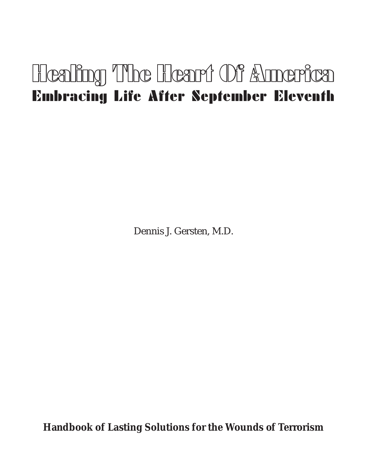# Healing The Heart Of Annerica Embracing Life After September Eleventh

Dennis J. Gersten, M.D.

**Handbook of Lasting Solutions for the Wounds of Terrorism**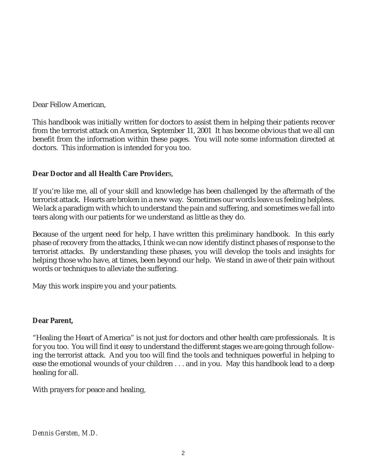Dear Fellow American,

This handbook was initially written for doctors to assist them in helping their patients recover from the terrorist attack on America, September 11, 2001 It has become obvious that we all can benefit from the information within these pages. You will note some information directed at doctors. This information is intended for you too.

#### **Dear Doctor and all Health Care Provider**s,

If you're like me, all of your skill and knowledge has been challenged by the aftermath of the terrorist attack. Hearts are broken in a new way. Sometimes our words leave us feeling helpless. We lack a paradigm with which to understand the pain and suffering, and sometimes we fall into tears along with our patients for we understand as little as they do.

Because of the urgent need for help, I have written this preliminary handbook. In this early phase of recovery from the attacks, I think we can now identify distinct phases of response to the terrorist attacks. By understanding these phases, you will develop the tools and insights for helping those who have, at times, been beyond our help. We stand in awe of their pain without words or techniques to alleviate the suffering.

May this work inspire you and your patients.

#### **Dear Parent,**

"Healing the Heart of America" is not just for doctors and other health care professionals. It is for you too. You will find it easy to understand the different stages we are going through following the terrorist attack. And you too will find the tools and techniques powerful in helping to ease the emotional wounds of your children . . . and in you. May this handbook lead to a deep healing for all.

With prayers for peace and healing,

*Dennis Gersten, M.D.*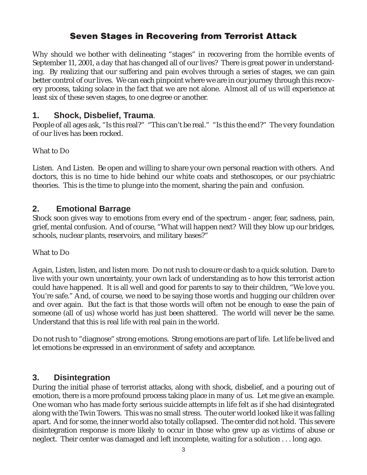# **Seven Stages in Recovering from Terrorist Attack**

Why should we bother with delineating "stages" in recovering from the horrible events of September 11, 2001, a day that has changed all of our lives? There is great power in understanding. By realizing that our suffering and pain evolves through a series of stages, we can gain better control of our lives. We can each pinpoint where we are in our journey through this recovery process, taking solace in the fact that we are not alone. Almost all of us will experience at least six of these seven stages, to one degree or another.

## **1. Shock, Disbelief, Trauma**.

People of all ages ask, "Is this real?" "This can't be real." "Is this the end?" The very foundation of our lives has been rocked.

#### What to Do

Listen. And Listen. Be open and willing to share your own personal reaction with others. And doctors, this is no time to hide behind our white coats and stethoscopes, or our psychiatric theories. This is the time to plunge into the moment, sharing the pain and confusion.

### **2. Emotional Barrage**

Shock soon gives way to emotions from every end of the spectrum - anger, fear, sadness, pain, grief, mental confusion. And of course, "What will happen next? Will they blow up our bridges, schools, nuclear plants, reservoirs, and military bases?"

What to Do

Again, Listen, listen, and listen more. Do not rush to closure or dash to a quick solution. Dare to live with your own uncertainty, your own lack of understanding as to how this terrorist action could have happened. It is all well and good for parents to say to their children, "We love you. You're safe." And, of course, we need to be saying those words and hugging our children over and over again. But the fact is that those words will often not be enough to ease the pain of someone (all of us) whose world has just been shattered. The world will never be the same. Understand that this is real life with real pain in the world.

Do not rush to "diagnose" strong emotions. Strong emotions are part of life. Let life be lived and let emotions be expressed in an environment of safety and acceptance.

### **3. Disintegration**

During the initial phase of terrorist attacks, along with shock, disbelief, and a pouring out of emotion, there is a more profound process taking place in many of us. Let me give an example. One woman who has made forty serious suicide attempts in life felt as if she had disintegrated along with the Twin Towers. This was no small stress. The outer world looked like it was falling apart. And for some, the inner world also totally collapsed. The center did not hold. This severe disintegration response is more likely to occur in those who grew up as victims of abuse or neglect. Their center was damaged and left incomplete, waiting for a solution . . . long ago.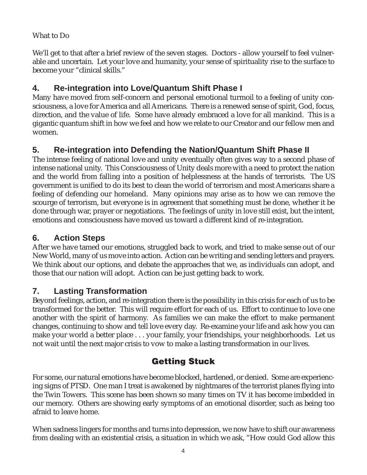## What to Do

We'll get to that after a brief review of the seven stages. Doctors - allow yourself to feel vulnerable and uncertain. Let your love and humanity, your sense of spirituality rise to the surface to become your "clinical skills."

# **4. Re-integration into Love/Quantum Shift Phase I**

Many have moved from self-concern and personal emotional turmoil to a feeling of unity consciousness, a love for America and all Americans. There is a renewed sense of spirit, God, focus, direction, and the value of life. Some have already embraced a love for all mankind. This is a gigantic quantum shift in how we feel and how we relate to our Creator and our fellow men and women.

# **5. Re-integration into Defending the Nation/Quantum Shift Phase II**

The intense feeling of national love and unity eventually often gives way to a second phase of intense national unity. This Consciousness of Unity deals more with a need to protect the nation and the world from falling into a position of helplessness at the hands of terrorists. The US government is unified to do its best to clean the world of terrorism and most Americans share a feeling of defending our homeland. Many opinions may arise as to how we can remove the scourge of terrorism, but everyone is in agreement that something must be done, whether it be done through war, prayer or negotiations. The feelings of unity in love still exist, but the intent, emotions and consciousness have moved us toward a different kind of re-integration.

## **6. Action Steps**

After we have tamed our emotions, struggled back to work, and tried to make sense out of our New World, many of us move into action. Action can be writing and sending letters and prayers. We think about our options, and debate the approaches that we, as individuals can adopt, and those that our nation will adopt. Action can be just getting back to work.

## **7. Lasting Transformation**

Beyond feelings, action, and re-integration there is the possibility in this crisis for each of us to be transformed for the better. This will require effort for each of us. Effort to continue to love one another with the spirit of harmony. As families we can make the effort to make permanent changes, continuing to show and tell love every day. Re-examine your life and ask how you can make your world a better place . . . your family, your friendships, your neighborhoods. Let us not wait until the next major crisis to vow to make a lasting transformation in our lives.

## **Getting Stuck**

For some, our natural emotions have become blocked, hardened, or denied. Some are experiencing signs of PTSD. One man I treat is awakened by nightmares of the terrorist planes flying into the Twin Towers. This scene has been shown so many times on TV it has become imbedded in our memory. Others are showing early symptoms of an emotional disorder, such as being too afraid to leave home.

When sadness lingers for months and turns into depression, we now have to shift our awareness from dealing with an existential crisis, a situation in which we ask, "How could God allow this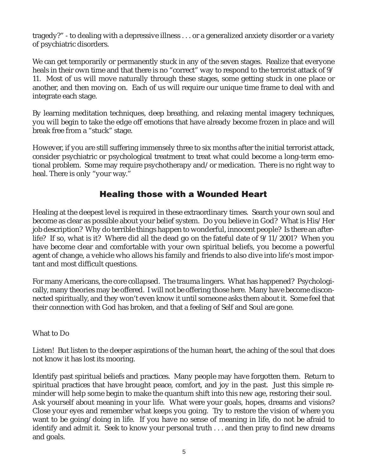tragedy?" - to dealing with a depressive illness . . . or a generalized anxiety disorder or a variety of psychiatric disorders.

We can get temporarily or permanently stuck in any of the seven stages. Realize that everyone heals in their own time and that there is no "correct" way to respond to the terrorist attack of  $9/$ 11. Most of us will move naturally through these stages, some getting stuck in one place or another, and then moving on. Each of us will require our unique time frame to deal with and integrate each stage.

By learning meditation techniques, deep breathing, and relaxing mental imagery techniques, you will begin to take the edge off emotions that have already become frozen in place and will break free from a "stuck" stage.

However, if you are still suffering immensely three to six months after the initial terrorist attack, consider psychiatric or psychological treatment to treat what could become a long-term emotional problem. Some may require psychotherapy and/or medication. There is no right way to heal. There is only "your way."

# **Healing those with a Wounded Heart**

Healing at the deepest level is required in these extraordinary times. Search your own soul and become as clear as possible about your belief system. Do you believe in God? What is His/Her job description? Why do terrible things happen to wonderful, innocent people? Is there an afterlife? If so, what is it? Where did all the dead go on the fateful date of 9/11/2001? When you have become clear and comfortable with your own spiritual beliefs, you become a powerful agent of change, a vehicle who allows his family and friends to also dive into life's most important and most difficult questions.

For many Americans, the core collapsed. The trauma lingers. What has happened? Psychologically, many theories may be offered. I will not be offering those here. Many have become disconnected spiritually, and they won't even know it until someone asks them about it. Some feel that their connection with God has broken, and that a feeling of Self and Soul are gone.

#### What to Do

Listen! But listen to the deeper aspirations of the human heart, the aching of the soul that does not know it has lost its mooring.

Identify past spiritual beliefs and practices. Many people may have forgotten them. Return to spiritual practices that have brought peace, comfort, and joy in the past. Just this simple reminder will help some begin to make the quantum shift into this new age, restoring their soul. Ask yourself about meaning in your life. What were your goals, hopes, dreams and visions? Close your eyes and remember what keeps you going. Try to restore the vision of where you want to be going/doing in life. If you have no sense of meaning in life, do not be afraid to identify and admit it. Seek to know your personal truth . . . and then pray to find new dreams and goals.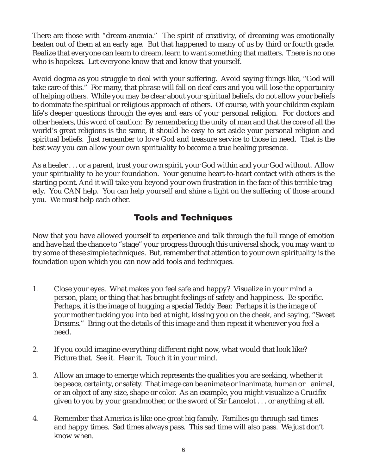There are those with "dream-anemia." The spirit of creativity, of dreaming was emotionally beaten out of them at an early age. But that happened to many of us by third or fourth grade. Realize that everyone can learn to dream, learn to want something that matters. There is no one who is hopeless. Let everyone know that and know that yourself.

Avoid dogma as you struggle to deal with your suffering. Avoid saying things like, "God will take care of this." For many, that phrase will fall on deaf ears and you will lose the opportunity of helping others. While you may be clear about your spiritual beliefs, do not allow your beliefs to dominate the spiritual or religious approach of others. Of course, with your children explain life's deeper questions through the eyes and ears of your personal religion. For doctors and other healers, this word of caution: By remembering the unity of man and that the core of all the world's great religions is the same, it should be easy to set aside your personal religion and spiritual beliefs. Just remember to love God and treasure service to those in need. That is the best way you can allow your own spirituality to become a true healing presence.

As a healer . . . or a parent, trust your own spirit, your God within and your God without. Allow your spirituality to be your foundation. Your genuine heart-to-heart contact with others is the starting point. And it will take you beyond your own frustration in the face of this terrible tragedy. You CAN help. You can help yourself and shine a light on the suffering of those around you. We must help each other.

# **Tools and Techniques**

Now that you have allowed yourself to experience and talk through the full range of emotion and have had the chance to "stage" your progress through this universal shock, you may want to try some of these simple techniques. But, remember that attention to your own spirituality is the foundation upon which you can now add tools and techniques.

- 1. Close your eyes. What makes you feel safe and happy? Visualize in your mind a person, place, or thing that has brought feelings of safety and happiness. Be specific. Perhaps, it is the image of hugging a special Teddy Bear. Perhaps it is the image of your mother tucking you into bed at night, kissing you on the cheek, and saying, "Sweet Dreams." Bring out the details of this image and then repeat it whenever you feel a need.
- 2. If you could imagine everything different right now, what would that look like? Picture that. See it. Hear it. Touch it in your mind.
- 3. Allow an image to emerge which represents the qualities you are seeking, whether it be peace, certainty, or safety. That image can be animate or inanimate, human or animal, or an object of any size, shape or color. As an example, you might visualize a Crucifix given to you by your grandmother, or the sword of Sir Lancelot . . . or anything at all.
- 4. Remember that America is like one great big family. Families go through sad times and happy times. Sad times always pass. This sad time will also pass. We just don't know when.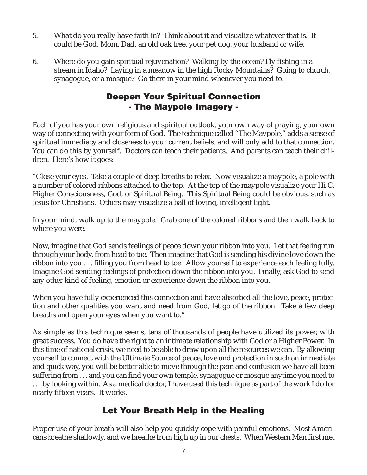- 5. What do you really have faith in? Think about it and visualize whatever that is. It could be God, Mom, Dad, an old oak tree, your pet dog, your husband or wife.
- 6. Where do you gain spiritual rejuvenation? Walking by the ocean? Fly fishing in a stream in Idaho? Laying in a meadow in the high Rocky Mountains? Going to church, synagogue, or a mosque? Go there in your mind whenever you need to.

# **Deepen Your Spiritual Connection - The Maypole Imagery -**

Each of you has your own religious and spiritual outlook, your own way of praying, your own way of connecting with your form of God. The technique called "The Maypole," adds a sense of spiritual immediacy and closeness to your current beliefs, and will only add to that connection. You can do this by yourself. Doctors can teach their patients. And parents can teach their children. Here's how it goes:

"Close your eyes. Take a couple of deep breaths to relax. Now visualize a maypole, a pole with a number of colored ribbons attached to the top. At the top of the maypole visualize your Hi C, Higher Consciousness, God, or Spiritual Being. This Spiritual Being could be obvious, such as Jesus for Christians. Others may visualize a ball of loving, intelligent light.

In your mind, walk up to the maypole. Grab one of the colored ribbons and then walk back to where you were.

Now, imagine that God sends feelings of peace down your ribbon into you. Let that feeling run through your body, from head to toe. Then imagine that God is sending his divine love down the ribbon into you . . . filling you from head to toe. Allow yourself to experience each feeling fully. Imagine God sending feelings of protection down the ribbon into you. Finally, ask God to send any other kind of feeling, emotion or experience down the ribbon into you.

When you have fully experienced this connection and have absorbed all the love, peace, protection and other qualities you want and need from God, let go of the ribbon. Take a few deep breaths and open your eyes when you want to."

As simple as this technique seems, tens of thousands of people have utilized its power, with great success. You do have the right to an intimate relationship with God or a Higher Power. In this time of national crisis, we need to be able to draw upon all the resources we can. By allowing yourself to connect with the Ultimate Source of peace, love and protection in such an immediate and quick way, you will be better able to move through the pain and confusion we have all been suffering from . . . and you can find your own temple, synagogue or mosque anytime you need to . . . by looking within. As a medical doctor, I have used this technique as part of the work I do for nearly fifteen years. It works.

# **Let Your Breath Help in the Healing**

Proper use of your breath will also help you quickly cope with painful emotions. Most Americans breathe shallowly, and we breathe from high up in our chests. When Western Man first met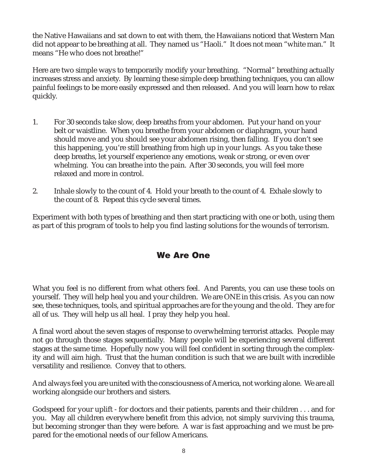the Native Hawaiians and sat down to eat with them, the Hawaiians noticed that Western Man did not appear to be breathing at all. They named us "Haoli." It does not mean "white man." It means "He who does not breathe!"

Here are two simple ways to temporarily modify your breathing. "Normal" breathing actually increases stress and anxiety. By learning these simple deep breathing techniques, you can allow painful feelings to be more easily expressed and then released. And you will learn how to relax quickly.

- 1. For 30 seconds take slow, deep breaths from your abdomen. Put your hand on your belt or waistline. When you breathe from your abdomen or diaphragm, your hand should move and you should see your abdomen rising, then falling. If you don't see this happening, you're still breathing from high up in your lungs. As you take these deep breaths, let yourself experience any emotions, weak or strong, or even over whelming. You can breathe into the pain. After 30 seconds, you will feel more relaxed and more in control.
- 2. Inhale slowly to the count of 4. Hold your breath to the count of 4. Exhale slowly to the count of 8. Repeat this cycle several times.

Experiment with both types of breathing and then start practicing with one or both, using them as part of this program of tools to help you find lasting solutions for the wounds of terrorism.

# **We Are One**

What you feel is no different from what others feel. And Parents, you can use these tools on yourself. They will help heal you and your children. We are ONE in this crisis. As you can now see, these techniques, tools, and spiritual approaches are for the young and the old. They are for all of us. They will help us all heal. I pray they help you heal.

A final word about the seven stages of response to overwhelming terrorist attacks. People may not go through those stages sequentially. Many people will be experiencing several different stages at the same time. Hopefully now you will feel confident in sorting through the complexity and will aim high. Trust that the human condition is such that we are built with incredible versatility and resilience. Convey that to others.

And always feel you are united with the consciousness of America, not working alone. We are all working alongside our brothers and sisters.

Godspeed for your uplift - for doctors and their patients, parents and their children . . . and for you. May all children everywhere benefit from this advice, not simply surviving this trauma, but becoming stronger than they were before. A war is fast approaching and we must be prepared for the emotional needs of our fellow Americans.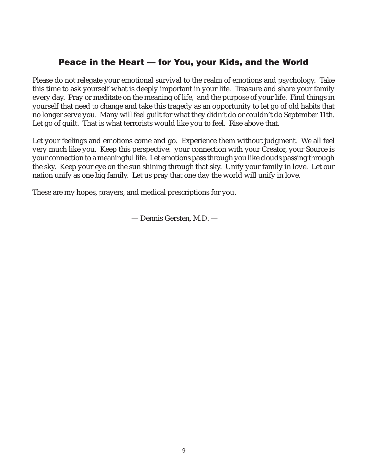## **Peace in the Heart — for You, your Kids, and the World**

Please do not relegate your emotional survival to the realm of emotions and psychology. Take this time to ask yourself what is deeply important in your life. Treasure and share your family every day. Pray or meditate on the meaning of life, and the purpose of your life. Find things in yourself that need to change and take this tragedy as an opportunity to let go of old habits that no longer serve you. Many will feel guilt for what they didn't do or couldn't do September 11th. Let go of guilt. That is what terrorists would like you to feel. Rise above that.

Let your feelings and emotions come and go. Experience them without judgment. We all feel very much like you. Keep this perspective: your connection with your Creator, your Source is your connection to a meaningful life. Let emotions pass through you like clouds passing through the sky. Keep your eye on the sun shining through that sky. Unify your family in love. Let our nation unify as one big family. Let us pray that one day the world will unify in love.

These are my hopes, prayers, and medical prescriptions for you.

— Dennis Gersten, M.D. —